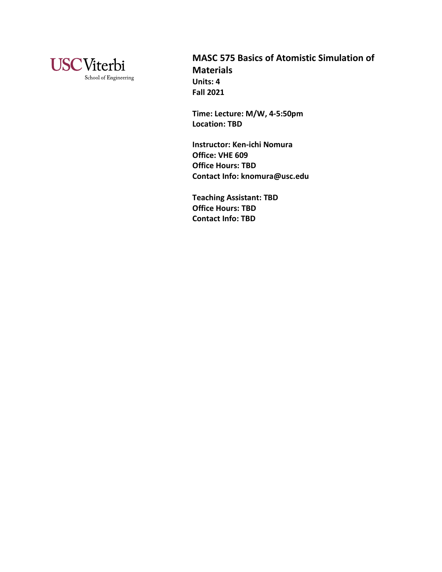

**MASC 575 Basics of Atomistic Simulation of Materials Units: 4 Fall 2021**

**Time: Lecture: M/W, 4-5:50pm Location: TBD**

**Instructor: Ken-ichi Nomura Office: VHE 609 Office Hours: TBD Contact Info: knomura@usc.edu**

**Teaching Assistant: TBD Office Hours: TBD Contact Info: TBD**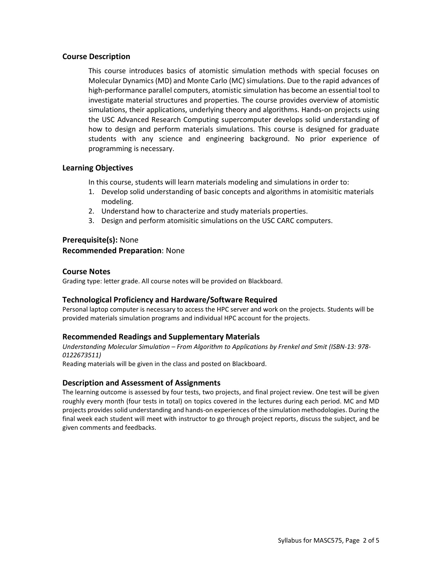### **Course Description**

This course introduces basics of atomistic simulation methods with special focuses on Molecular Dynamics (MD) and Monte Carlo (MC) simulations. Due to the rapid advances of high-performance parallel computers, atomistic simulation has become an essential tool to investigate material structures and properties. The course provides overview of atomistic simulations, their applications, underlying theory and algorithms. Hands-on projects using the USC Advanced Research Computing supercomputer develops solid understanding of how to design and perform materials simulations. This course is designed for graduate students with any science and engineering background. No prior experience of programming is necessary.

# **Learning Objectives**

In this course, students will learn materials modeling and simulations in order to:

- 1. Develop solid understanding of basic concepts and algorithms in atomisitic materials modeling.
- 2. Understand how to characterize and study materials properties.
- 3. Design and perform atomisitic simulations on the USC CARC computers.

# **Prerequisite(s):** None **Recommended Preparation**: None

### **Course Notes**

Grading type: letter grade. All course notes will be provided on Blackboard.

# **Technological Proficiency and Hardware/Software Required**

Personal laptop computer is necessary to access the HPC server and work on the projects. Students will be provided materials simulation programs and individual HPC account for the projects.

# **Recommended Readings and Supplementary Materials**

*Understanding Molecular Simulation – From Algorithm to Applications by Frenkel and Smit (ISBN-13: 978- 0122673511)*

Reading materials will be given in the class and posted on Blackboard.

# **Description and Assessment of Assignments**

The learning outcome is assessed by four tests, two projects, and final project review. One test will be given roughly every month (four tests in total) on topics covered in the lectures during each period. MC and MD projects provides solid understanding and hands-on experiences of the simulation methodologies. During the final week each student will meet with instructor to go through project reports, discuss the subject, and be given comments and feedbacks.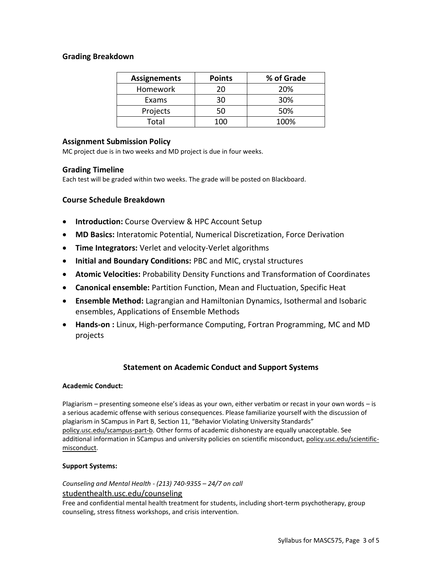# **Grading Breakdown**

| <b>Assignements</b> | <b>Points</b> | % of Grade |
|---------------------|---------------|------------|
| Homework            | 20            | 20%        |
| Exams               | 30            | 30%        |
| Projects            | 50            | 50%        |
| Total               | 1ሰበ           | 100%       |

# **Assignment Submission Policy**

MC project due is in two weeks and MD project is due in four weeks.

### **Grading Timeline**

Each test will be graded within two weeks. The grade will be posted on Blackboard.

# **Course Schedule Breakdown**

- **Introduction:** Course Overview & HPC Account Setup
- **MD Basics:** Interatomic Potential, Numerical Discretization, Force Derivation
- **Time Integrators:** Verlet and velocity-Verlet algorithms
- **Initial and Boundary Conditions:** PBC and MIC, crystal structures
- **Atomic Velocities:** Probability Density Functions and Transformation of Coordinates
- **Canonical ensemble:** Partition Function, Mean and Fluctuation, Specific Heat
- **Ensemble Method:** Lagrangian and Hamiltonian Dynamics, Isothermal and Isobaric ensembles, Applications of Ensemble Methods
- **Hands-on :** Linux, High-performance Computing, Fortran Programming, MC and MD projects

# **Statement on Academic Conduct and Support Systems**

#### **Academic Conduct:**

Plagiarism – presenting someone else's ideas as your own, either verbatim or recast in your own words – is a serious academic offense with serious consequences. Please familiarize yourself with the discussion of plagiarism in SCampus in Part B, Section 11, "Behavior Violating University Standards" [policy.usc.edu/scampus-part-b.](https://policy.usc.edu/scampus-part-b/) Other forms of academic dishonesty are equally unacceptable. See additional information in SCampus and university policies on scientific misconduct[, policy.usc.edu/scientific](http://policy.usc.edu/scientific-misconduct)[misconduct.](http://policy.usc.edu/scientific-misconduct)

#### **Support Systems:**

*Counseling and Mental Health - (213) 740-9355 – 24/7 on call* [studenthealth.usc.edu/counseling](https://studenthealth.usc.edu/counseling/)

Free and confidential mental health treatment for students, including short-term psychotherapy, group [co](https://engemannshc.usc.edu/counseling/)unseling, stress fitness workshops, and crisis intervention.